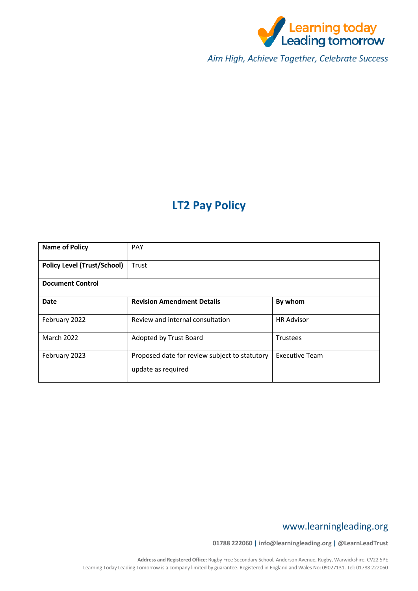

*Aim High, Achieve Together, Celebrate Success*

# **LT2 Pay Policy**

| <b>Name of Policy</b>              | <b>PAY</b>                                                          |                       |  |
|------------------------------------|---------------------------------------------------------------------|-----------------------|--|
| <b>Policy Level (Trust/School)</b> | Trust                                                               |                       |  |
| <b>Document Control</b>            |                                                                     |                       |  |
| Date                               | <b>Revision Amendment Details</b>                                   | By whom               |  |
| February 2022                      | Review and internal consultation                                    | <b>HR Advisor</b>     |  |
| <b>March 2022</b>                  | Adopted by Trust Board                                              | <b>Trustees</b>       |  |
| February 2023                      | Proposed date for review subject to statutory<br>update as required | <b>Executive Team</b> |  |

## www.learningleading.org

**01788 222060 | info@learningleading.org | @LearnLeadTrust**

**Address and Registered Office:** Rugby Free Secondary School, Anderson Avenue, Rugby, Warwickshire, CV22 5PE Learning Today Leading Tomorrow is a company limited by guarantee. Registered in England and Wales No: 09027131. Tel: 01788 222060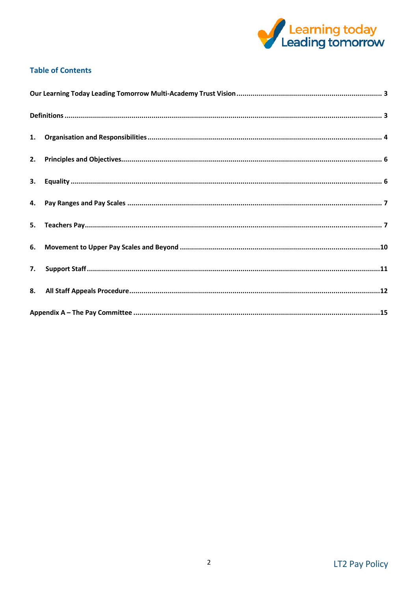

## **Table of Contents**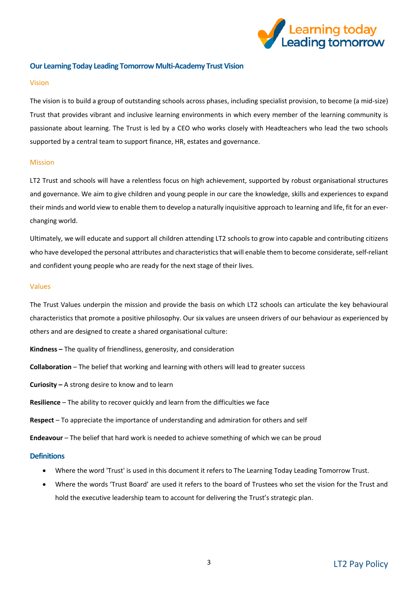

## <span id="page-2-0"></span>**Our Learning Today Leading Tomorrow Multi-Academy Trust Vision**

#### Vision

The vision is to build a group of outstanding schools across phases, including specialist provision, to become (a mid-size) Trust that provides vibrant and inclusive learning environments in which every member of the learning community is passionate about learning. The Trust is led by a CEO who works closely with Headteachers who lead the two schools supported by a central team to support finance, HR, estates and governance.

#### Mission

LT2 Trust and schools will have a relentless focus on high achievement, supported by robust organisational structures and governance. We aim to give children and young people in our care the knowledge, skills and experiences to expand their minds and world view to enable them to develop a naturally inquisitive approach to learning and life, fit for an everchanging world.

Ultimately, we will educate and support all children attending LT2 schools to grow into capable and contributing citizens who have developed the personal attributes and characteristics that will enable them to become considerate, self-reliant and confident young people who are ready for the next stage of their lives.

#### Values

The Trust Values underpin the mission and provide the basis on which LT2 schools can articulate the key behavioural characteristics that promote a positive philosophy. Our six values are unseen drivers of our behaviour as experienced by others and are designed to create a shared organisational culture:

**Kindness –** The quality of friendliness, generosity, and consideration

**Collaboration** – The belief that working and learning with others will lead to greater success

**Curiosity –** A strong desire to know and to learn

**Resilience** – The ability to recover quickly and learn from the difficulties we face

**Respect** – To appreciate the importance of understanding and admiration for others and self

**Endeavour** – The belief that hard work is needed to achieve something of which we can be proud

### <span id="page-2-1"></span>**Definitions**

- Where the word 'Trust' is used in this document it refers to The Learning Today Leading Tomorrow Trust.
- Where the words 'Trust Board' are used it refers to the board of Trustees who set the vision for the Trust and hold the executive leadership team to account for delivering the Trust's strategic plan.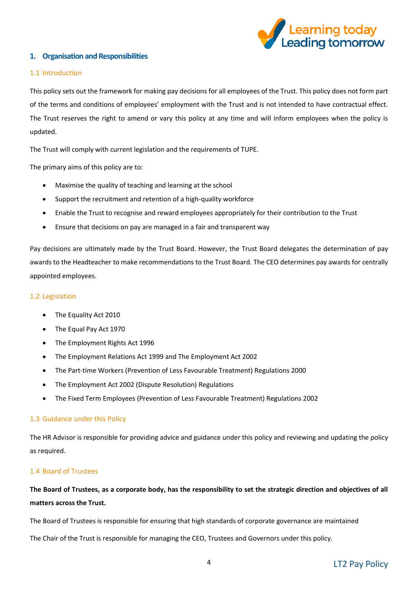

## <span id="page-3-0"></span>**1. Organisation and Responsibilities**

### 1.1 Introduction

This policy sets out the framework for making pay decisions for all employees of the Trust. This policy does not form part of the terms and conditions of employees' employment with the Trust and is not intended to have contractual effect. The Trust reserves the right to amend or vary this policy at any time and will inform employees when the policy is updated.

The Trust will comply with current legislation and the requirements of TUPE.

The primary aims of this policy are to:

- Maximise the quality of teaching and learning at the school
- Support the recruitment and retention of a high-quality workforce
- Enable the Trust to recognise and reward employees appropriately for their contribution to the Trust
- Ensure that decisions on pay are managed in a fair and transparent way

Pay decisions are ultimately made by the Trust Board. However, the Trust Board delegates the determination of pay awards to the Headteacher to make recommendations to the Trust Board. The CEO determines pay awards for centrally appointed employees.

## 1.2 Legislation

- The Equality Act 2010
- The Equal Pay Act 1970
- The Employment Rights Act 1996
- The Employment Relations Act 1999 and The Employment Act 2002
- The Part-time Workers (Prevention of Less Favourable Treatment) Regulations 2000
- The Employment Act 2002 (Dispute Resolution) Regulations
- The Fixed Term Employees (Prevention of Less Favourable Treatment) Regulations 2002

### 1.3 Guidance under this Policy

The HR Advisor is responsible for providing advice and guidance under this policy and reviewing and updating the policy as required.

## 1.4 Board of Trustees

## **The Board of Trustees, as a corporate body, has the responsibility to set the strategic direction and objectives of all matters across the Trust.**

The Board of Trustees is responsible for ensuring that high standards of corporate governance are maintained

The Chair of the Trust is responsible for managing the CEO, Trustees and Governors under this policy.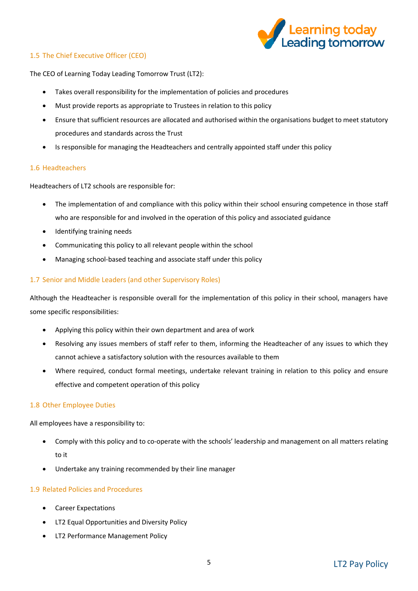

## 1.5 The Chief Executive Officer (CEO)

The CEO of Learning Today Leading Tomorrow Trust (LT2):

- Takes overall responsibility for the implementation of policies and procedures
- Must provide reports as appropriate to Trustees in relation to this policy
- Ensure that sufficient resources are allocated and authorised within the organisations budget to meet statutory procedures and standards across the Trust
- Is responsible for managing the Headteachers and centrally appointed staff under this policy

## 1.6 Headteachers

Headteachers of LT2 schools are responsible for:

- The implementation of and compliance with this policy within their school ensuring competence in those staff who are responsible for and involved in the operation of this policy and associated guidance
- Identifying training needs
- Communicating this policy to all relevant people within the school
- Managing school-based teaching and associate staff under this policy

## 1.7 Senior and Middle Leaders (and other Supervisory Roles)

Although the Headteacher is responsible overall for the implementation of this policy in their school, managers have some specific responsibilities:

- Applying this policy within their own department and area of work
- Resolving any issues members of staff refer to them, informing the Headteacher of any issues to which they cannot achieve a satisfactory solution with the resources available to them
- Where required, conduct formal meetings, undertake relevant training in relation to this policy and ensure effective and competent operation of this policy

### 1.8 Other Employee Duties

All employees have a responsibility to:

- Comply with this policy and to co-operate with the schools' leadership and management on all matters relating to it
- Undertake any training recommended by their line manager

## 1.9 Related Policies and Procedures

- Career Expectations
- LT2 Equal Opportunities and Diversity Policy
- LT2 Performance Management Policy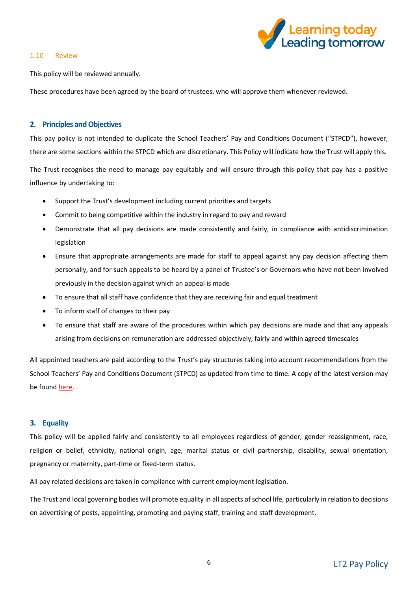

#### 1.10 Review

This policy will be reviewed annually.

These procedures have been agreed by the board of trustees, who will approve them whenever reviewed.

## <span id="page-5-0"></span>**2. Principles and Objectives**

This pay policy is not intended to duplicate the School Teachers' Pay and Conditions Document ("STPCD"), however, there are some sections within the STPCD which are discretionary. This Policy will indicate how the Trust will apply this.

The Trust recognises the need to manage pay equitably and will ensure through this policy that pay has a positive influence by undertaking to:

- Support the Trust's development including current priorities and targets
- Commit to being competitive within the industry in regard to pay and reward
- Demonstrate that all pay decisions are made consistently and fairly, in compliance with antidiscrimination legislation
- Ensure that appropriate arrangements are made for staff to appeal against any pay decision affecting them personally, and for such appeals to be heard by a panel of Trustee's or Governors who have not been involved previously in the decision against which an appeal is made
- To ensure that all staff have confidence that they are receiving fair and equal treatment
- To inform staff of changes to their pay
- To ensure that staff are aware of the procedures within which pay decisions are made and that any appeals arising from decisions on remuneration are addressed objectively, fairly and within agreed timescales

All appointed teachers are paid according to the Trust's pay structures taking into account recommendations from the School Teachers' Pay and Conditions Document (STPCD) as updated from time to time. A copy of the latest version may be foun[d here.](https://www.gov.uk/government/publications/school-teachers-pay-and-conditions)

### <span id="page-5-1"></span>**3. Equality**

This policy will be applied fairly and consistently to all employees regardless of gender, gender reassignment, race, religion or belief, ethnicity, national origin, age, marital status or civil partnership, disability, sexual orientation, pregnancy or maternity, part-time or fixed-term status.

All pay related decisions are taken in compliance with current employment legislation.

The Trust and local governing bodies will promote equality in all aspects of school life, particularly in relation to decisions on advertising of posts, appointing, promoting and paying staff, training and staff development.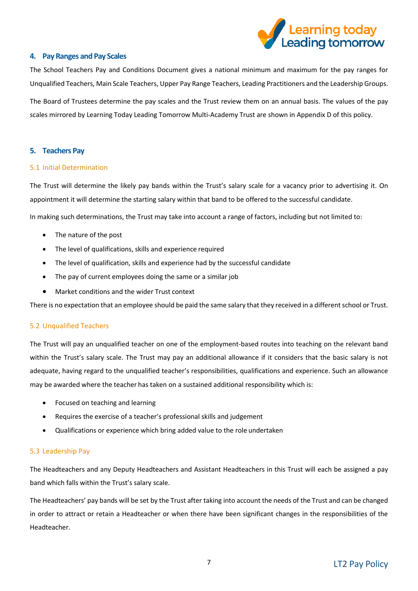

### <span id="page-6-0"></span>**4. Pay Ranges and Pay Scales**

The School Teachers Pay and Conditions Document gives a national minimum and maximum for the pay ranges for Unqualified Teachers, Main Scale Teachers, Upper Pay Range Teachers, Leading Practitioners and the Leadership Groups.

The Board of Trustees determine the pay scales and the Trust review them on an annual basis. The values of the pay scales mirrored by Learning Today Leading Tomorrow Multi-Academy Trust are shown in Appendix D of this policy.

### <span id="page-6-1"></span>**5. Teachers Pay**

### 5.1 Initial Determination

The Trust will determine the likely pay bands within the Trust's salary scale for a vacancy prior to advertising it. On appointment it will determine the starting salary within that band to be offered to the successful candidate.

In making such determinations, the Trust may take into account a range of factors, including but not limited to:

- The nature of the post
- The level of qualifications, skills and experience required
- The level of qualification, skills and experience had by the successful candidate
- The pay of current employees doing the same or a similar job
- Market conditions and the wider Trust context

There is no expectation that an employee should be paid the same salary that they received in a different school or Trust.

## 5.2 Unqualified Teachers

The Trust will pay an unqualified teacher on one of the employment-based routes into teaching on the relevant band within the Trust's salary scale. The Trust may pay an additional allowance if it considers that the basic salary is not adequate, having regard to the unqualified teacher's responsibilities, qualifications and experience. Such an allowance may be awarded where the teacher has taken on a sustained additional responsibility which is:

- Focused on teaching and learning
- Requires the exercise of a teacher's professional skills and judgement
- Qualifications or experience which bring added value to the role undertaken

### 5.3 Leadership Pay

The Headteachers and any Deputy Headteachers and Assistant Headteachers in this Trust will each be assigned a pay band which falls within the Trust's salary scale.

The Headteachers' pay bands will be set by the Trust after taking into account the needs of the Trust and can be changed in order to attract or retain a Headteacher or when there have been significant changes in the responsibilities of the Headteacher.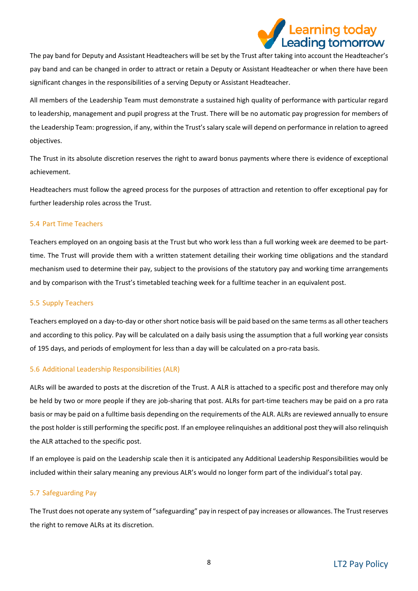

The pay band for Deputy and Assistant Headteachers will be set by the Trust after taking into account the Headteacher's pay band and can be changed in order to attract or retain a Deputy or Assistant Headteacher or when there have been significant changes in the responsibilities of a serving Deputy or Assistant Headteacher.

All members of the Leadership Team must demonstrate a sustained high quality of performance with particular regard to leadership, management and pupil progress at the Trust. There will be no automatic pay progression for members of the Leadership Team: progression, if any, within the Trust's salary scale will depend on performance in relation to agreed objectives.

The Trust in its absolute discretion reserves the right to award bonus payments where there is evidence of exceptional achievement.

Headteachers must follow the agreed process for the purposes of attraction and retention to offer exceptional pay for further leadership roles across the Trust.

### 5.4 Part Time Teachers

Teachers employed on an ongoing basis at the Trust but who work less than a full working week are deemed to be parttime. The Trust will provide them with a written statement detailing their working time obligations and the standard mechanism used to determine their pay, subject to the provisions of the statutory pay and working time arrangements and by comparison with the Trust's timetabled teaching week for a fulltime teacher in an equivalent post.

### 5.5 Supply Teachers

Teachers employed on a day-to-day or other short notice basis will be paid based on the same terms as all other teachers and according to this policy. Pay will be calculated on a daily basis using the assumption that a full working year consists of 195 days, and periods of employment for less than a day will be calculated on a pro-rata basis.

## 5.6 Additional Leadership Responsibilities (ALR)

ALRs will be awarded to posts at the discretion of the Trust. A ALR is attached to a specific post and therefore may only be held by two or more people if they are job-sharing that post. ALRs for part-time teachers may be paid on a pro rata basis or may be paid on a fulltime basis depending on the requirements of the ALR. ALRs are reviewed annually to ensure the post holder is still performing the specific post. If an employee relinquishes an additional post they will also relinquish the ALR attached to the specific post.

If an employee is paid on the Leadership scale then it is anticipated any Additional Leadership Responsibilities would be included within their salary meaning any previous ALR's would no longer form part of the individual's total pay.

## 5.7 Safeguarding Pay

The Trust does not operate any system of "safeguarding" pay in respect of pay increases or allowances. The Trust reserves the right to remove ALRs at its discretion.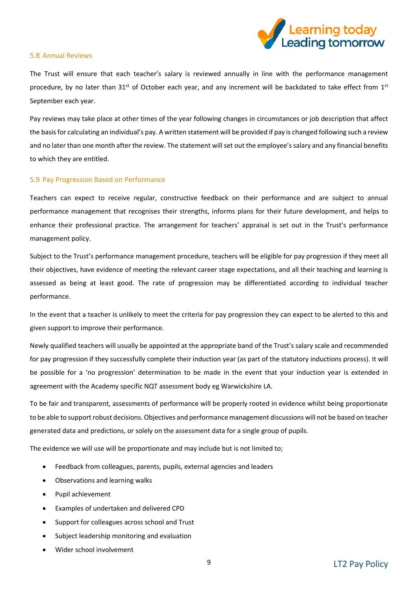

#### 5.8 Annual Reviews

The Trust will ensure that each teacher's salary is reviewed annually in line with the performance management procedure, by no later than  $31^{st}$  of October each year, and any increment will be backdated to take effect from  $1^{st}$ September each year.

Pay reviews may take place at other times of the year following changes in circumstances or job description that affect the basis for calculating an individual's pay. A written statement will be provided if pay is changed following such a review and no later than one month after the review. The statement will set out the employee's salary and any financial benefits to which they are entitled.

### 5.9 Pay Progression Based on Performance

Teachers can expect to receive regular, constructive feedback on their performance and are subject to annual performance management that recognises their strengths, informs plans for their future development, and helps to enhance their professional practice. The arrangement for teachers' appraisal is set out in the Trust's performance management policy.

Subject to the Trust's performance management procedure, teachers will be eligible for pay progression if they meet all their objectives, have evidence of meeting the relevant career stage expectations, and all their teaching and learning is assessed as being at least good. The rate of progression may be differentiated according to individual teacher performance.

In the event that a teacher is unlikely to meet the criteria for pay progression they can expect to be alerted to this and given support to improve their performance.

Newly qualified teachers will usually be appointed at the appropriate band of the Trust's salary scale and recommended for pay progression if they successfully complete their induction year (as part of the statutory inductions process). It will be possible for a 'no progression' determination to be made in the event that your induction year is extended in agreement with the Academy specific NQT assessment body eg Warwickshire LA.

To be fair and transparent, assessments of performance will be properly rooted in evidence whilst being proportionate to be able to support robust decisions. Objectives and performance management discussions will not be based on teacher generated data and predictions, or solely on the assessment data for a single group of pupils.

The evidence we will use will be proportionate and may include but is not limited to;

- Feedback from colleagues, parents, pupils, external agencies and leaders
- Observations and learning walks
- Pupil achievement
- Examples of undertaken and delivered CPD
- Support for colleagues across school and Trust
- Subject leadership monitoring and evaluation
- Wider school involvement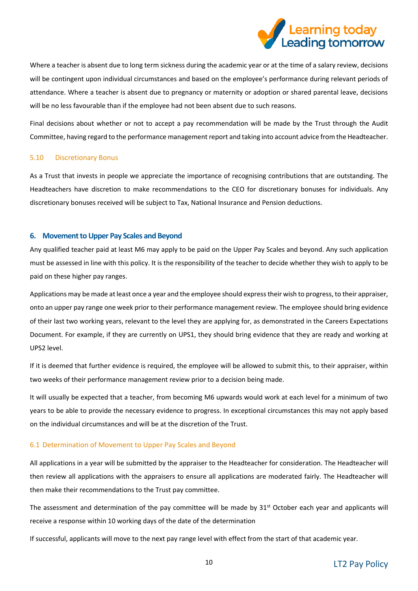

Where a teacher is absent due to long term sickness during the academic year or at the time of a salary review, decisions will be contingent upon individual circumstances and based on the employee's performance during relevant periods of attendance. Where a teacher is absent due to pregnancy or maternity or adoption or shared parental leave, decisions will be no less favourable than if the employee had not been absent due to such reasons.

Final decisions about whether or not to accept a pay recommendation will be made by the Trust through the Audit Committee, having regard to the performance management report and taking into account advice from the Headteacher.

### 5.10 Discretionary Bonus

As a Trust that invests in people we appreciate the importance of recognising contributions that are outstanding. The Headteachers have discretion to make recommendations to the CEO for discretionary bonuses for individuals. Any discretionary bonuses received will be subject to Tax, National Insurance and Pension deductions.

### <span id="page-9-0"></span>**6. Movement to Upper Pay Scales and Beyond**

Any qualified teacher paid at least M6 may apply to be paid on the Upper Pay Scales and beyond. Any such application must be assessed in line with this policy. It is the responsibility of the teacher to decide whether they wish to apply to be paid on these higher pay ranges.

Applications may be made at least once a year and the employee should express their wish to progress, to their appraiser, onto an upper pay range one week prior to their performance management review. The employee should bring evidence of their last two working years, relevant to the level they are applying for, as demonstrated in the Careers Expectations Document. For example, if they are currently on UPS1, they should bring evidence that they are ready and working at UPS2 level.

If it is deemed that further evidence is required, the employee will be allowed to submit this, to their appraiser, within two weeks of their performance management review prior to a decision being made.

It will usually be expected that a teacher, from becoming M6 upwards would work at each level for a minimum of two years to be able to provide the necessary evidence to progress. In exceptional circumstances this may not apply based on the individual circumstances and will be at the discretion of the Trust.

### 6.1 Determination of Movement to Upper Pay Scales and Beyond

All applications in a year will be submitted by the appraiser to the Headteacher for consideration. The Headteacher will then review all applications with the appraisers to ensure all applications are moderated fairly. The Headteacher will then make their recommendations to the Trust pay committee.

The assessment and determination of the pay committee will be made by 31<sup>st</sup> October each year and applicants will receive a response within 10 working days of the date of the determination

If successful, applicants will move to the next pay range level with effect from the start of that academic year.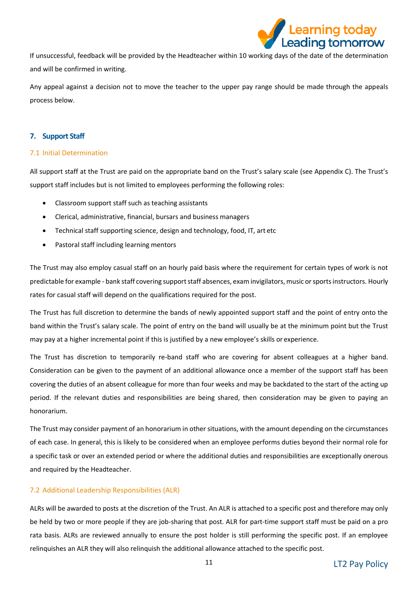

If unsuccessful, feedback will be provided by the Headteacher within 10 working days of the date of the determination and will be confirmed in writing.

Any appeal against a decision not to move the teacher to the upper pay range should be made through the appeals process below.

## <span id="page-10-0"></span>**7. Support Staff**

## 7.1 Initial Determination

All support staff at the Trust are paid on the appropriate band on the Trust's salary scale (see Appendix C). The Trust's support staff includes but is not limited to employees performing the following roles:

- Classroom support staff such as teaching assistants
- Clerical, administrative, financial, bursars and business managers
- Technical staff supporting science, design and technology, food, IT, art etc
- Pastoral staff including learning mentors

The Trust may also employ casual staff on an hourly paid basis where the requirement for certain types of work is not predictable for example - bank staff covering support staff absences, exam invigilators, music or sports instructors. Hourly rates for casual staff will depend on the qualifications required for the post.

The Trust has full discretion to determine the bands of newly appointed support staff and the point of entry onto the band within the Trust's salary scale. The point of entry on the band will usually be at the minimum point but the Trust may pay at a higher incremental point if this is justified by a new employee's skills or experience.

The Trust has discretion to temporarily re-band staff who are covering for absent colleagues at a higher band. Consideration can be given to the payment of an additional allowance once a member of the support staff has been covering the duties of an absent colleague for more than four weeks and may be backdated to the start of the acting up period. If the relevant duties and responsibilities are being shared, then consideration may be given to paying an honorarium.

The Trust may consider payment of an honorarium in other situations, with the amount depending on the circumstances of each case. In general, this is likely to be considered when an employee performs duties beyond their normal role for a specific task or over an extended period or where the additional duties and responsibilities are exceptionally onerous and required by the Headteacher.

## 7.2 Additional Leadership Responsibilities (ALR)

ALRs will be awarded to posts at the discretion of the Trust. An ALR is attached to a specific post and therefore may only be held by two or more people if they are job-sharing that post. ALR for part-time support staff must be paid on a pro rata basis. ALRs are reviewed annually to ensure the post holder is still performing the specific post. If an employee relinquishes an ALR they will also relinquish the additional allowance attached to the specific post.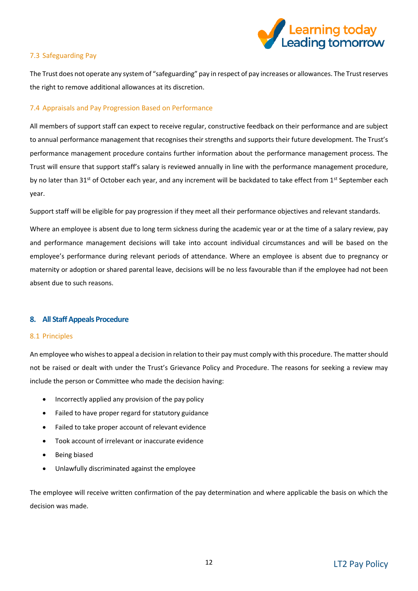

## 7.3 Safeguarding Pay

The Trust does not operate any system of "safeguarding" pay in respect of pay increases or allowances. The Trust reserves the right to remove additional allowances at its discretion.

## 7.4 Appraisals and Pay Progression Based on Performance

All members of support staff can expect to receive regular, constructive feedback on their performance and are subject to annual performance management that recognises their strengths and supports their future development. The Trust's performance management procedure contains further information about the performance management process. The Trust will ensure that support staff's salary is reviewed annually in line with the performance management procedure, by no later than 31<sup>st</sup> of October each year, and any increment will be backdated to take effect from 1<sup>st</sup> September each year.

Support staff will be eligible for pay progression if they meet all their performance objectives and relevant standards.

Where an employee is absent due to long term sickness during the academic year or at the time of a salary review, pay and performance management decisions will take into account individual circumstances and will be based on the employee's performance during relevant periods of attendance. Where an employee is absent due to pregnancy or maternity or adoption or shared parental leave, decisions will be no less favourable than if the employee had not been absent due to such reasons.

### <span id="page-11-0"></span>**8. All Staff Appeals Procedure**

### 8.1 Principles

An employee who wishes to appeal a decision in relation to their pay must comply with this procedure. The matter should not be raised or dealt with under the Trust's Grievance Policy and Procedure. The reasons for seeking a review may include the person or Committee who made the decision having:

- Incorrectly applied any provision of the pay policy
- Failed to have proper regard for statutory guidance
- Failed to take proper account of relevant evidence
- Took account of irrelevant or inaccurate evidence
- Being biased
- Unlawfully discriminated against the employee

The employee will receive written confirmation of the pay determination and where applicable the basis on which the decision was made.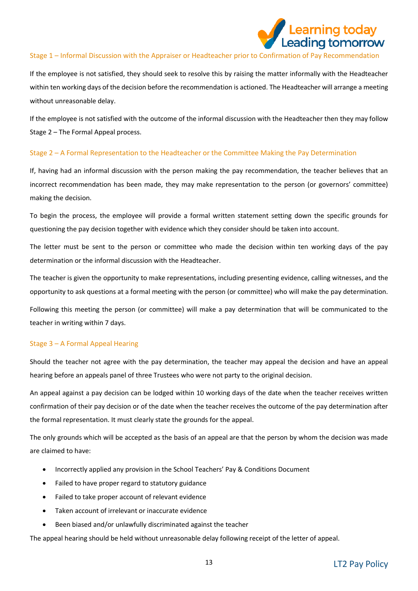

### Stage 1 – Informal Discussion with the Appraiser or Headteacher prior to Confirmation of Pay Recommendation

If the employee is not satisfied, they should seek to resolve this by raising the matter informally with the Headteacher within ten working days of the decision before the recommendation is actioned. The Headteacher will arrange a meeting without unreasonable delay.

If the employee is not satisfied with the outcome of the informal discussion with the Headteacher then they may follow Stage 2 – The Formal Appeal process.

## Stage 2 – A Formal Representation to the Headteacher or the Committee Making the Pay Determination

If, having had an informal discussion with the person making the pay recommendation, the teacher believes that an incorrect recommendation has been made, they may make representation to the person (or governors' committee) making the decision.

To begin the process, the employee will provide a formal written statement setting down the specific grounds for questioning the pay decision together with evidence which they consider should be taken into account.

The letter must be sent to the person or committee who made the decision within ten working days of the pay determination or the informal discussion with the Headteacher.

The teacher is given the opportunity to make representations, including presenting evidence, calling witnesses, and the opportunity to ask questions at a formal meeting with the person (or committee) who will make the pay determination.

Following this meeting the person (or committee) will make a pay determination that will be communicated to the teacher in writing within 7 days.

## Stage 3 – A Formal Appeal Hearing

Should the teacher not agree with the pay determination, the teacher may appeal the decision and have an appeal hearing before an appeals panel of three Trustees who were not party to the original decision.

An appeal against a pay decision can be lodged within 10 working days of the date when the teacher receives written confirmation of their pay decision or of the date when the teacher receives the outcome of the pay determination after the formal representation. It must clearly state the grounds for the appeal.

The only grounds which will be accepted as the basis of an appeal are that the person by whom the decision was made are claimed to have:

- Incorrectly applied any provision in the School Teachers' Pay & Conditions Document
- Failed to have proper regard to statutory guidance
- Failed to take proper account of relevant evidence
- Taken account of irrelevant or inaccurate evidence
- Been biased and/or unlawfully discriminated against the teacher

The appeal hearing should be held without unreasonable delay following receipt of the letter of appeal.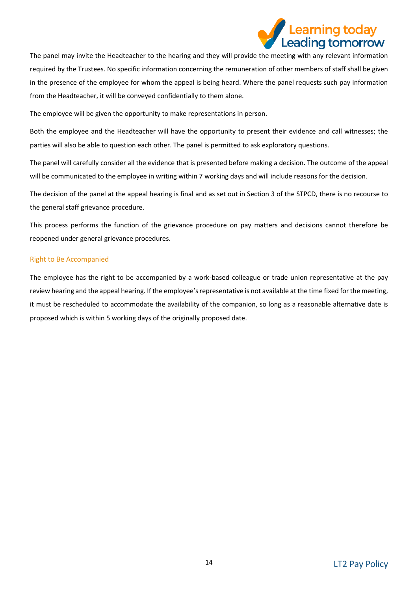

The panel may invite the Headteacher to the hearing and they will provide the meeting with any relevant information required by the Trustees. No specific information concerning the remuneration of other members of staff shall be given in the presence of the employee for whom the appeal is being heard. Where the panel requests such pay information from the Headteacher, it will be conveyed confidentially to them alone.

The employee will be given the opportunity to make representations in person.

Both the employee and the Headteacher will have the opportunity to present their evidence and call witnesses; the parties will also be able to question each other. The panel is permitted to ask exploratory questions.

The panel will carefully consider all the evidence that is presented before making a decision. The outcome of the appeal will be communicated to the employee in writing within 7 working days and will include reasons for the decision.

The decision of the panel at the appeal hearing is final and as set out in Section 3 of the STPCD, there is no recourse to the general staff grievance procedure.

This process performs the function of the grievance procedure on pay matters and decisions cannot therefore be reopened under general grievance procedures.

## Right to Be Accompanied

The employee has the right to be accompanied by a work-based colleague or trade union representative at the pay review hearing and the appeal hearing. If the employee's representative is not available at the time fixed for the meeting, it must be rescheduled to accommodate the availability of the companion, so long as a reasonable alternative date is proposed which is within 5 working days of the originally proposed date.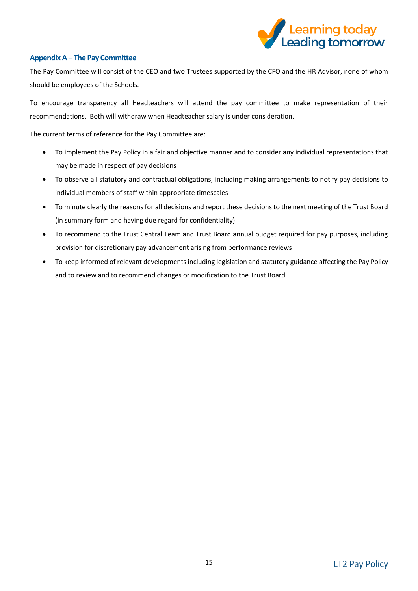

## <span id="page-14-0"></span>**Appendix A – The Pay Committee**

The Pay Committee will consist of the CEO and two Trustees supported by the CFO and the HR Advisor, none of whom should be employees of the Schools.

To encourage transparency all Headteachers will attend the pay committee to make representation of their recommendations. Both will withdraw when Headteacher salary is under consideration.

The current terms of reference for the Pay Committee are:

- To implement the Pay Policy in a fair and objective manner and to consider any individual representations that may be made in respect of pay decisions
- To observe all statutory and contractual obligations, including making arrangements to notify pay decisions to individual members of staff within appropriate timescales
- To minute clearly the reasons for all decisions and report these decisions to the next meeting of the Trust Board (in summary form and having due regard for confidentiality)
- To recommend to the Trust Central Team and Trust Board annual budget required for pay purposes, including provision for discretionary pay advancement arising from performance reviews
- To keep informed of relevant developments including legislation and statutory guidance affecting the Pay Policy and to review and to recommend changes or modification to the Trust Board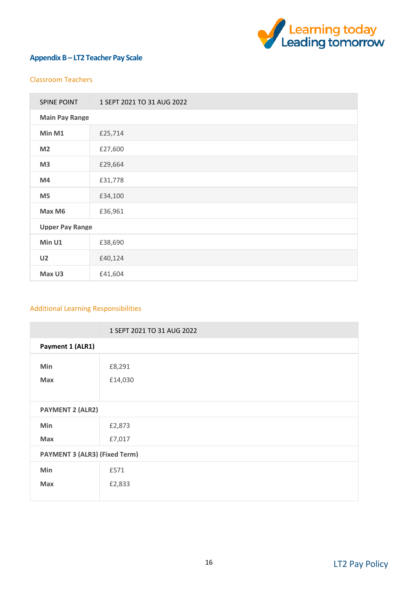

## **Appendix B – LT2 Teacher Pay Scale**

## Classroom Teachers

| <b>SPINE POINT</b>     | 1 SEPT 2021 TO 31 AUG 2022 |  |  |  |
|------------------------|----------------------------|--|--|--|
|                        | <b>Main Pay Range</b>      |  |  |  |
| Min M1                 | £25,714                    |  |  |  |
| M <sub>2</sub>         | £27,600                    |  |  |  |
| M <sub>3</sub>         | £29,664                    |  |  |  |
| M4                     | £31,778                    |  |  |  |
| M <sub>5</sub>         | £34,100                    |  |  |  |
| Max M6                 | £36,961                    |  |  |  |
| <b>Upper Pay Range</b> |                            |  |  |  |
| Min U1                 | £38,690                    |  |  |  |
| U <sub>2</sub>         | £40,124                    |  |  |  |
| Max U3                 | £41,604                    |  |  |  |

## Additional Learning Responsibilities

|                                      | 1 SEPT 2021 TO 31 AUG 2022 |  |
|--------------------------------------|----------------------------|--|
| Payment 1 (ALR1)                     |                            |  |
| Min<br>Max                           | £8,291<br>£14,030          |  |
| <b>PAYMENT 2 (ALR2)</b>              |                            |  |
| Min                                  | £2,873                     |  |
| Max                                  | £7,017                     |  |
| <b>PAYMENT 3 (ALR3) (Fixed Term)</b> |                            |  |
| Min                                  | £571                       |  |
| <b>Max</b>                           | £2,833                     |  |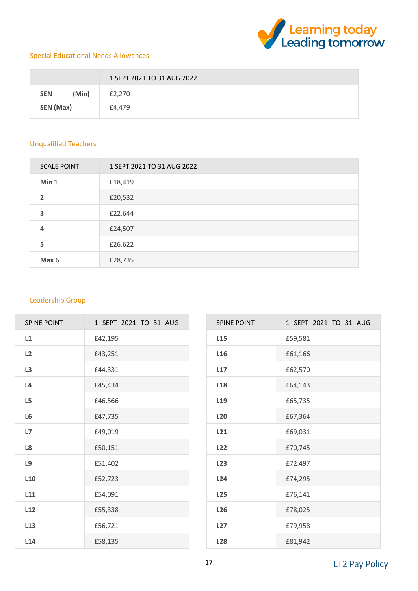

## Special Educational Needs Allowances

|                     | 1 SEPT 2021 TO 31 AUG 2022 |  |  |
|---------------------|----------------------------|--|--|
| (Min)<br><b>SEN</b> | £2,270                     |  |  |
| SEN (Max)           | £4,479                     |  |  |

## Unqualified Teachers

| <b>SCALE POINT</b> | 1 SEPT 2021 TO 31 AUG 2022 |
|--------------------|----------------------------|
| Min 1              | £18,419                    |
| 2                  | £20,532                    |
| 3                  | £22,644                    |
| 4                  | £24,507                    |
| 5                  | £26,622                    |
| Max 6              | £28,735                    |

## Leadership Group

| <b>SPINE POINT</b> | 1 SEPT 2021 TO 31 AUG |
|--------------------|-----------------------|
| L1                 | £42,195               |
| L2                 | £43,251               |
| L3                 | £44,331               |
| L4                 | £45.434               |
| L <sub>5</sub>     | £46,566               |
| L <sub>6</sub>     | £47,735               |
| L7                 | £49,019               |
| L8                 | £50,151               |
| L9                 | £51,402               |
| L <sub>10</sub>    | £52,723               |
| L11                | £54,091               |
| L12                | £55,338               |
| L <sub>13</sub>    | £56,721               |
| L14                | £58,135               |

| <b>SPINE POINT</b> | 1 SEPT 2021 TO 31 AUG |
|--------------------|-----------------------|
| L <sub>15</sub>    | £59,581               |
| L16                | £61,166               |
| L17                | £62,570               |
| L <sub>18</sub>    | £64,143               |
| L <sub>19</sub>    | £65,735               |
| <b>L20</b>         | £67,364               |
| L21                | £69,031               |
| L22                | £70,745               |
| L23                | £72,497               |
| L24                | £74.295               |
| <b>L25</b>         | £76,141               |
| L26                | £78,025               |
| L27                | £79.958               |
| <b>L28</b>         | £81,942               |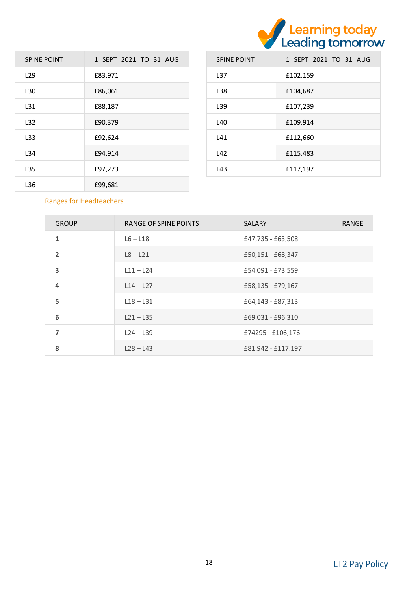

| <b>SPINE POINT</b> | 1 SEPT 2021 TO 31 AUG |
|--------------------|-----------------------|
| L <sub>29</sub>    | £83,971               |
| L30                | £86,061               |
| L31                | £88.187               |
| L32                | £90.379               |
| L33                | £92.624               |
| L34                | £94.914               |
| L35                | £97.273               |
| L36                | £99,681               |

| <b>SPINE POINT</b> | 1 SEPT 2021 TO 31 AUG |
|--------------------|-----------------------|
| L37                | £102,159              |
| L38                | £104.687              |
| L39                | £107.239              |
| L40                | £109,914              |
| L41                | £112.660              |
| L42                | £115.483              |
| L43                | £117.197              |

## Ranges for Headteachers

| <b>GROUP</b>            | RANGE OF SPINE POINTS | <b>SALARY</b>      | <b>RANGE</b> |
|-------------------------|-----------------------|--------------------|--------------|
| 1                       | $L6 - L18$            | £47,735 - £63,508  |              |
| $\overline{\mathbf{z}}$ | $L8 - L21$            | £50,151 - £68,347  |              |
| 3                       | $L11 - L24$           | £54.091 - £73.559  |              |
| 4                       | $L14 - L27$           | £58,135 - £79,167  |              |
| 5                       | $L18 - L31$           | £64.143 - £87.313  |              |
| 6                       | $L21 - L35$           | £69,031 - £96,310  |              |
| 7                       | $L24 - L39$           | £74295 - £106,176  |              |
| 8                       | $L28 - L43$           | £81,942 - £117,197 |              |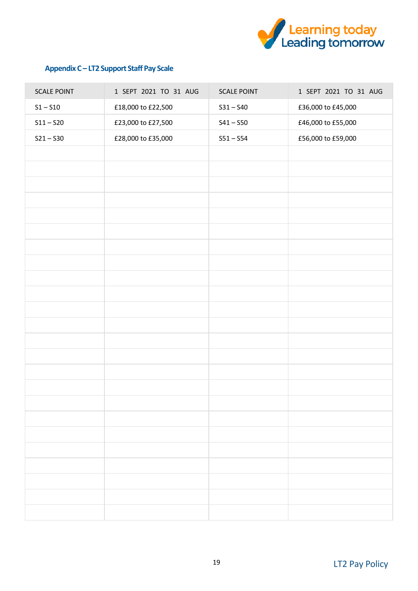

## **Appendix C – LT2 Support Staff Pay Scale**

| <b>SCALE POINT</b>         | 1 SEPT 2021 TO 31 AUG | <b>SCALE POINT</b> | 1 SEPT 2021 TO 31 AUG |
|----------------------------|-----------------------|--------------------|-----------------------|
| $\mathsf{S1}-\mathsf{S10}$ | £18,000 to £22,500    | $S31 - S40$        | £36,000 to £45,000    |
| $S11 - S20$                | £23,000 to £27,500    | $S41 - S50$        | £46,000 to £55,000    |
| $S21 - S30$                | £28,000 to £35,000    | $S51 - S54$        | £56,000 to £59,000    |
|                            |                       |                    |                       |
|                            |                       |                    |                       |
|                            |                       |                    |                       |
|                            |                       |                    |                       |
|                            |                       |                    |                       |
|                            |                       |                    |                       |
|                            |                       |                    |                       |
|                            |                       |                    |                       |
|                            |                       |                    |                       |
|                            |                       |                    |                       |
|                            |                       |                    |                       |
|                            |                       |                    |                       |
|                            |                       |                    |                       |
|                            |                       |                    |                       |
|                            |                       |                    |                       |
|                            |                       |                    |                       |
|                            |                       |                    |                       |
|                            |                       |                    |                       |
|                            |                       |                    |                       |
|                            |                       |                    |                       |
|                            |                       |                    |                       |
|                            |                       |                    |                       |
|                            |                       |                    |                       |
|                            |                       |                    |                       |